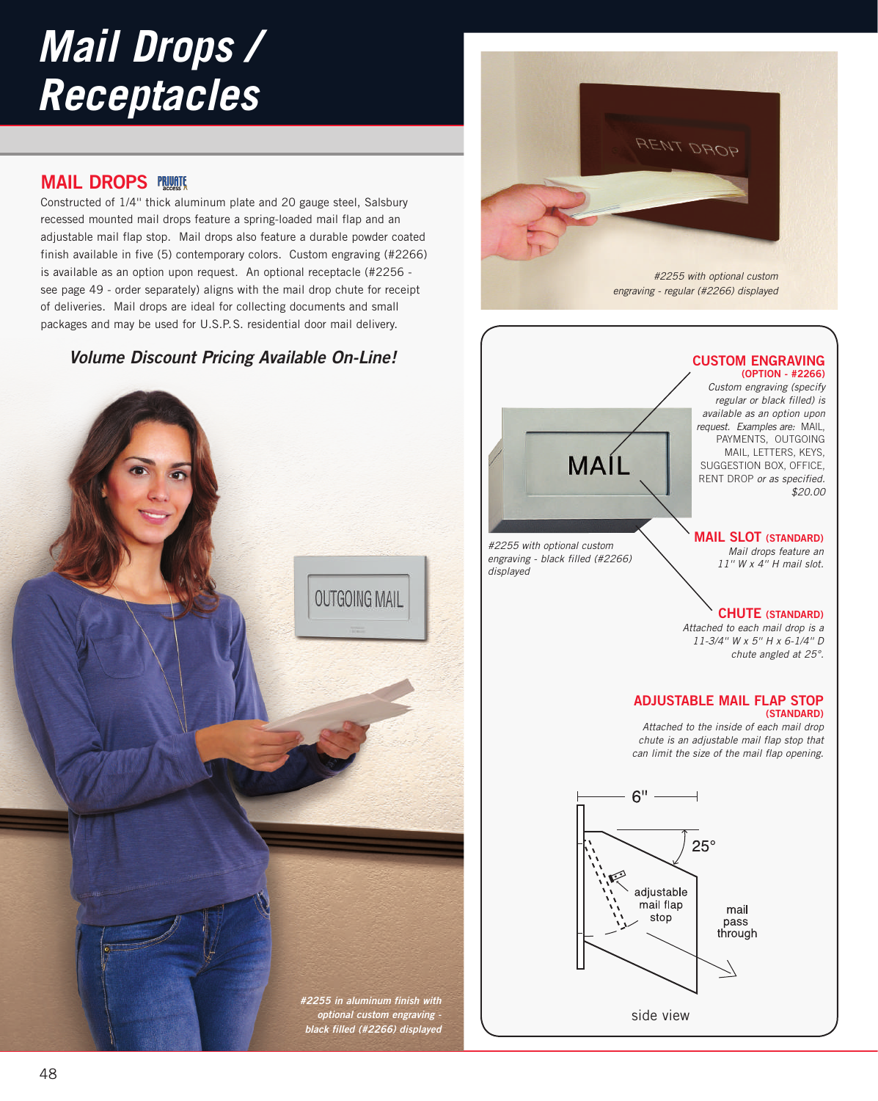# *Mail Drops / Receptacles*

## **MAIL DROPS**

Constructed of 1/4'' thick aluminum plate and 20 gauge steel, Salsbury recessed mounted mail drops feature a spring-loaded mail flap and an adjustable mail flap stop. Mail drops also feature a durable powder coated finish available in five (5) contemporary colors. Custom engraving (#2266) is available as an option upon request. An optional receptacle (#2256 see page 49 - order separately) aligns with the mail drop chute for receipt of deliveries. Mail drops are ideal for collecting documents and small packages and may be used for U.S.P.S. residential door mail delivery.

# **Volume Discount Pricing Available On-Line!**





*Custom engraving (specify regular or black filled) is available as an option upon request. Examples are:* MAIL, PAYMENTS, OUTGOING MAIL, LETTERS, KEYS, SUGGESTION BOX, OFFICE, RENT DROP *or as specified. \$20.00* 

*#2255 with optional custom engraving - black filled (#2266) displayed*

MAÍL

### **MAIL SLOT (STANDARD)**

*Mail drops feature an 11'' W x 4'' H mail slot.* 

## **CHUTE (STANDARD)**

*Attached to each mail drop is a 11-3/4'' W x 5'' H x 6-1/4'' D chute angled at 25°.*

#### **ADJUSTABLE MAIL FLAP STOP (STANDARD)**

*Attached to the inside of each mail drop chute is an adjustable mail flap stop that can limit the size of the mail flap opening.*